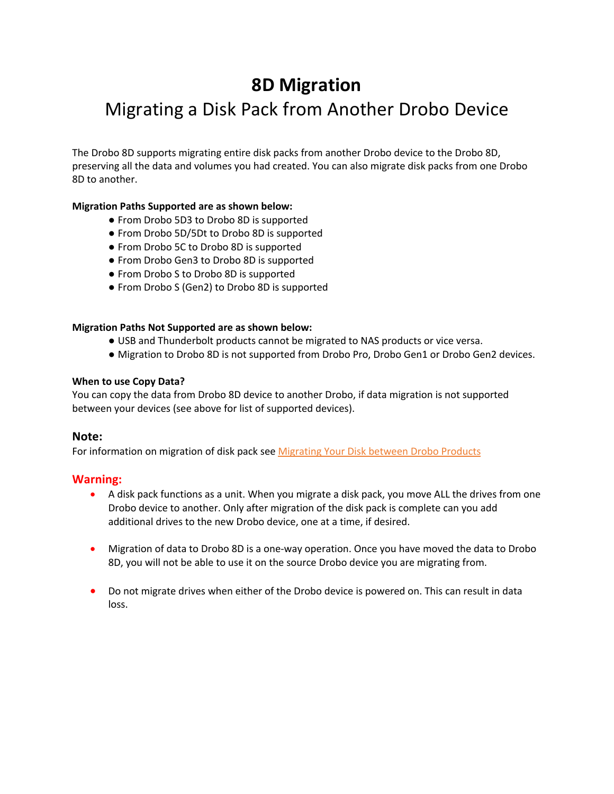# **8D Migration** Migrating a Disk Pack from Another Drobo Device

The Drobo 8D supports migrating entire disk packs from another Drobo device to the Drobo 8D, preserving all the data and volumes you had created. You can also migrate disk packs from one Drobo 8D to another.

## **Migration Paths Supported are as shown below:**

- From Drobo 5D3 to Drobo 8D is supported
- From Drobo 5D/5Dt to Drobo 8D is supported
- From Drobo 5C to Drobo 8D is supported
- From Drobo Gen3 to Drobo 8D is supported
- From Drobo S to Drobo 8D is supported
- From Drobo S (Gen2) to Drobo 8D is supported

### **Migration Paths Not Supported are as shown below:**

- USB and Thunderbolt products cannot be migrated to NAS products or vice versa.
- Migration to Drobo 8D is not supported from Drobo Pro, Drobo Gen1 or Drobo Gen2 devices.

#### **When to use Copy Data?**

You can copy the data from Drobo 8D device to another Drobo, if data migration is not supported between your devices (see above for list of supported devices).

### **Note:**

For information on migration of disk pack see Migrating Your Disk between Drobo Products

### **Warning:**

- A disk pack functions as a unit. When you migrate a disk pack, you move ALL the drives from one Drobo device to another. Only after migration of the disk pack is complete can you add additional drives to the new Drobo device, one at a time, if desired.
- Migration of data to Drobo 8D is a one-way operation. Once you have moved the data to Drobo 8D, you will not be able to use it on the source Drobo device you are migrating from.
- Do not migrate drives when either of the Drobo device is powered on. This can result in data loss.